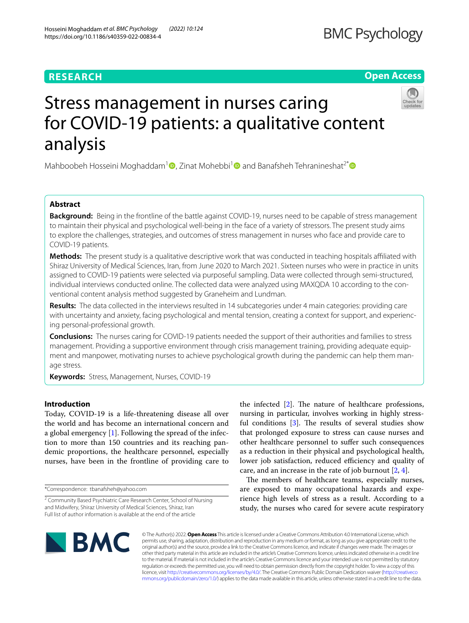Hosseini Moghaddam *et al. BMC Psychology (2022) 10:124* 

https://doi.org/10.1186/s40359-022-00834-4

# **Open Access**

# Stress management in nurses caring for COVID-19 patients: a qualitative content analysis

Mahboobeh Hosseini Moghaddam<sup>[1](http://orcid.org/0000-0002-3381-4559)</sup> , Zinat Mohebbi<sup>1</sup> and Banafsheh Tehranineshat<sup>2\*</sup> and Banafsheh Tehranineshat<sup>2\*</sup>

# **Abstract**

**Background:** Being in the frontline of the battle against COVID-19, nurses need to be capable of stress management to maintain their physical and psychological well-being in the face of a variety of stressors. The present study aims to explore the challenges, strategies, and outcomes of stress management in nurses who face and provide care to COVID-19 patients.

**Methods:** The present study is a qualitative descriptive work that was conducted in teaching hospitals affiliated with Shiraz University of Medical Sciences, Iran, from June 2020 to March 2021. Sixteen nurses who were in practice in units assigned to COVID-19 patients were selected via purposeful sampling. Data were collected through semi-structured, individual interviews conducted online. The collected data were analyzed using MAXQDA 10 according to the conventional content analysis method suggested by Graneheim and Lundman.

**Results:** The data collected in the interviews resulted in 14 subcategories under 4 main categories: providing care with uncertainty and anxiety, facing psychological and mental tension, creating a context for support, and experiencing personal-professional growth.

**Conclusions:** The nurses caring for COVID-19 patients needed the support of their authorities and families to stress management. Providing a supportive environment through crisis management training, providing adequate equipment and manpower, motivating nurses to achieve psychological growth during the pandemic can help them manage stress.

**Keywords:** Stress, Management, Nurses, COVID-19

# **Introduction**

Today, COVID-19 is a life-threatening disease all over the world and has become an international concern and a global emergency [[1\]](#page-11-0). Following the spread of the infection to more than 150 countries and its reaching pandemic proportions, the healthcare personnel, especially nurses, have been in the frontline of providing care to

\*Correspondence: tbanafsheh@yahoo.com

the infected  $[2]$  $[2]$ . The nature of healthcare professions, nursing in particular, involves working in highly stressful conditions  $\lceil 3 \rceil$ . The results of several studies show that prolonged exposure to stress can cause nurses and other healthcare personnel to sufer such consequences as a reduction in their physical and psychological health, lower job satisfaction, reduced efficiency and quality of care, and an increase in the rate of job burnout [\[2](#page-11-1), [4\]](#page-11-3).

The members of healthcare teams, especially nurses, are exposed to many occupational hazards and experience high levels of stress as a result. According to a study, the nurses who cared for severe acute respiratory



© The Author(s) 2022. **Open Access** This article is licensed under a Creative Commons Attribution 4.0 International License, which permits use, sharing, adaptation, distribution and reproduction in any medium or format, as long as you give appropriate credit to the original author(s) and the source, provide a link to the Creative Commons licence, and indicate if changes were made. The images or other third party material in this article are included in the article's Creative Commons licence, unless indicated otherwise in a credit line to the material. If material is not included in the article's Creative Commons licence and your intended use is not permitted by statutory regulation or exceeds the permitted use, you will need to obtain permission directly from the copyright holder. To view a copy of this licence, visit [http://creativecommons.org/licenses/by/4.0/.](http://creativecommons.org/licenses/by/4.0/) The Creative Commons Public Domain Dedication waiver ([http://creativeco](http://creativecommons.org/publicdomain/zero/1.0/) [mmons.org/publicdomain/zero/1.0/](http://creativecommons.org/publicdomain/zero/1.0/)) applies to the data made available in this article, unless otherwise stated in a credit line to the data.

<sup>&</sup>lt;sup>2</sup> Community Based Psychiatric Care Research Center, School of Nursing and Midwifery, Shiraz University of Medical Sciences, Shiraz, Iran Full list of author information is available at the end of the article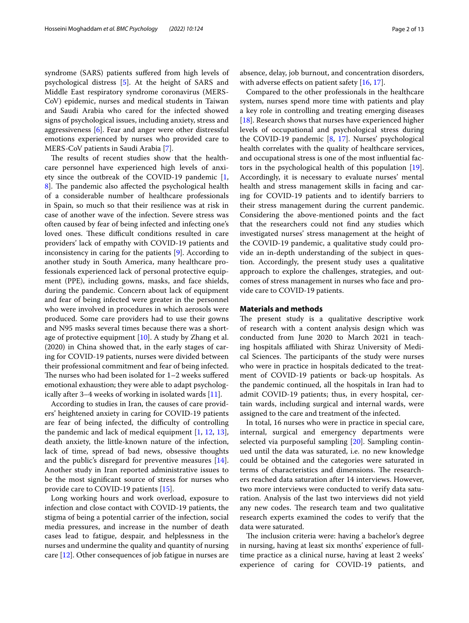syndrome (SARS) patients sufered from high levels of psychological distress [[5\]](#page-11-4). At the height of SARS and Middle East respiratory syndrome coronavirus (MERS-CoV) epidemic, nurses and medical students in Taiwan and Saudi Arabia who cared for the infected showed signs of psychological issues, including anxiety, stress and aggressiveness [\[6](#page-11-5)]. Fear and anger were other distressful emotions experienced by nurses who provided care to MERS-CoV patients in Saudi Arabia [\[7\]](#page-11-6).

The results of recent studies show that the healthcare personnel have experienced high levels of anxiety since the outbreak of the COVID-19 pandemic [\[1](#page-11-0), 8. The pandemic also affected the psychological health of a considerable number of healthcare professionals in Spain, so much so that their resilience was at risk in case of another wave of the infection. Severe stress was often caused by fear of being infected and infecting one's loved ones. These difficult conditions resulted in care providers' lack of empathy with COVID-19 patients and inconsistency in caring for the patients [[9\]](#page-11-8). According to another study in South America, many healthcare professionals experienced lack of personal protective equipment (PPE), including gowns, masks, and face shields, during the pandemic. Concern about lack of equipment and fear of being infected were greater in the personnel who were involved in procedures in which aerosols were produced. Some care providers had to use their gowns and N95 masks several times because there was a shortage of protective equipment [[10](#page-11-9)]. A study by Zhang et al. (2020) in China showed that, in the early stages of caring for COVID-19 patients, nurses were divided between their professional commitment and fear of being infected. The nurses who had been isolated for  $1-2$  weeks suffered emotional exhaustion; they were able to adapt psychologically after 3–4 weeks of working in isolated wards [\[11\]](#page-11-10).

According to studies in Iran, the causes of care providers' heightened anxiety in caring for COVID-19 patients are fear of being infected, the difficulty of controlling the pandemic and lack of medical equipment [\[1](#page-11-0), [12](#page-11-11), [13](#page-11-12)], death anxiety, the little-known nature of the infection, lack of time, spread of bad news, obsessive thoughts and the public's disregard for preventive measures [\[14](#page-11-13)]. Another study in Iran reported administrative issues to be the most signifcant source of stress for nurses who provide care to COVID-19 patients [[15\]](#page-11-14).

Long working hours and work overload, exposure to infection and close contact with COVID-19 patients, the stigma of being a potential carrier of the infection, social media pressures, and increase in the number of death cases lead to fatigue, despair, and helplessness in the nurses and undermine the quality and quantity of nursing care [\[12](#page-11-11)]. Other consequences of job fatigue in nurses are absence, delay, job burnout, and concentration disorders, with adverse effects on patient safety [[16,](#page-11-15) [17](#page-11-16)].

Compared to the other professionals in the healthcare system, nurses spend more time with patients and play a key role in controlling and treating emerging diseases [[18\]](#page-11-17). Research shows that nurses have experienced higher levels of occupational and psychological stress during the COVID-19 pandemic [\[8](#page-11-7), [17](#page-11-16)]. Nurses' psychological health correlates with the quality of healthcare services, and occupational stress is one of the most infuential factors in the psychological health of this population [\[19](#page-12-0)]. Accordingly, it is necessary to evaluate nurses' mental health and stress management skills in facing and caring for COVID-19 patients and to identify barriers to their stress management during the current pandemic. Considering the above-mentioned points and the fact that the researchers could not fnd any studies which investigated nurses' stress management at the height of the COVID-19 pandemic, a qualitative study could provide an in-depth understanding of the subject in question. Accordingly, the present study uses a qualitative approach to explore the challenges, strategies, and outcomes of stress management in nurses who face and provide care to COVID-19 patients.

# **Materials and methods**

The present study is a qualitative descriptive work of research with a content analysis design which was conducted from June 2020 to March 2021 in teaching hospitals affiliated with Shiraz University of Medical Sciences. The participants of the study were nurses who were in practice in hospitals dedicated to the treatment of COVID-19 patients or back-up hospitals. As the pandemic continued, all the hospitals in Iran had to admit COVID-19 patients; thus, in every hospital, certain wards, including surgical and internal wards, were assigned to the care and treatment of the infected.

In total, 16 nurses who were in practice in special care, internal, surgical and emergency departments were selected via purposeful sampling [\[20\]](#page-12-1). Sampling continued until the data was saturated, i.e. no new knowledge could be obtained and the categories were saturated in terms of characteristics and dimensions. The researchers reached data saturation after 14 interviews. However, two more interviews were conducted to verify data saturation. Analysis of the last two interviews did not yield any new codes. The research team and two qualitative research experts examined the codes to verify that the data were saturated.

The inclusion criteria were: having a bachelor's degree in nursing, having at least six months' experience of fulltime practice as a clinical nurse, having at least 2 weeks' experience of caring for COVID-19 patients, and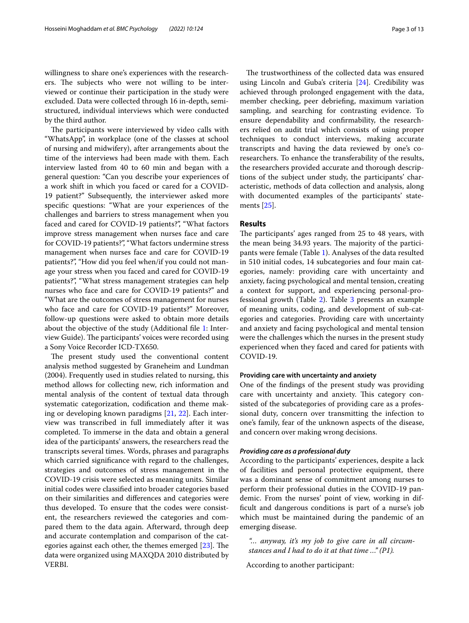willingness to share one's experiences with the researchers. The subjects who were not willing to be interviewed or continue their participation in the study were excluded. Data were collected through 16 in-depth, semistructured, individual interviews which were conducted by the third author.

The participants were interviewed by video calls with "WhatsApp", in workplace (one of the classes at school of nursing and midwifery), after arrangements about the time of the interviews had been made with them. Each interview lasted from 40 to 60 min and began with a general question: "Can you describe your experiences of a work shift in which you faced or cared for a COVID-19 patient?" Subsequently, the interviewer asked more specifc questions: "What are your experiences of the challenges and barriers to stress management when you faced and cared for COVID-19 patients?", "What factors improve stress management when nurses face and care for COVID-19 patients?", "What factors undermine stress management when nurses face and care for COVID-19 patients?", "How did you feel when/if you could not manage your stress when you faced and cared for COVID-19 patients?", "What stress management strategies can help nurses who face and care for COVID-19 patients?" and "What are the outcomes of stress management for nurses who face and care for COVID-19 patients?" Moreover, follow-up questions were asked to obtain more details about the objective of the study (Additional fle [1:](#page-11-18) Interview Guide). The participants' voices were recorded using a Sony Voice Recorder ICD-TX650.

The present study used the conventional content analysis method suggested by Graneheim and Lundman (2004). Frequently used in studies related to nursing, this method allows for collecting new, rich information and mental analysis of the content of textual data through systematic categorization, codifcation and theme making or developing known paradigms [[21,](#page-12-2) [22\]](#page-12-3). Each interview was transcribed in full immediately after it was completed. To immerse in the data and obtain a general idea of the participants' answers, the researchers read the transcripts several times. Words, phrases and paragraphs which carried signifcance with regard to the challenges, strategies and outcomes of stress management in the COVID-19 crisis were selected as meaning units. Similar initial codes were classifed into broader categories based on their similarities and diferences and categories were thus developed. To ensure that the codes were consistent, the researchers reviewed the categories and compared them to the data again. Afterward, through deep and accurate contemplation and comparison of the categories against each other, the themes emerged  $[23]$ . The data were organized using MAXQDA 2010 distributed by VERBI.

The trustworthiness of the collected data was ensured using Lincoln and Guba's criteria [\[24](#page-12-5)]. Credibility was achieved through prolonged engagement with the data, member checking, peer debriefng, maximum variation sampling, and searching for contrasting evidence. To ensure dependability and confrmability, the researchers relied on audit trial which consists of using proper techniques to conduct interviews, making accurate transcripts and having the data reviewed by one's coresearchers. To enhance the transferability of the results, the researchers provided accurate and thorough descriptions of the subject under study, the participants' characteristic, methods of data collection and analysis, along with documented examples of the participants' statements [\[25](#page-12-6)].

# **Results**

The participants' ages ranged from 25 to 48 years, with the mean being 34.93 years. The majority of the participants were female (Table [1\)](#page-3-0). Analyses of the data resulted in 510 initial codes, 14 subcategories and four main categories, namely: providing care with uncertainty and anxiety, facing psychological and mental tension, creating a context for support, and experiencing personal-professional growth (Table [2](#page-4-0)). Table [3](#page-5-0) presents an example of meaning units, coding, and development of sub-categories and categories. Providing care with uncertainty and anxiety and facing psychological and mental tension were the challenges which the nurses in the present study experienced when they faced and cared for patients with COVID-19.

## **Providing care with uncertainty and anxiety**

One of the fndings of the present study was providing care with uncertainty and anxiety. This category consisted of the subcategories of providing care as a professional duty, concern over transmitting the infection to one's family, fear of the unknown aspects of the disease, and concern over making wrong decisions.

# *Providing care as a professional duty*

According to the participants' experiences, despite a lack of facilities and personal protective equipment, there was a dominant sense of commitment among nurses to perform their professional duties in the COVID-19 pandemic. From the nurses' point of view, working in diffcult and dangerous conditions is part of a nurse's job which must be maintained during the pandemic of an emerging disease.

*"… anyway, it's my job to give care in all circumstances and I had to do it at that time …" (P1).*

According to another participant: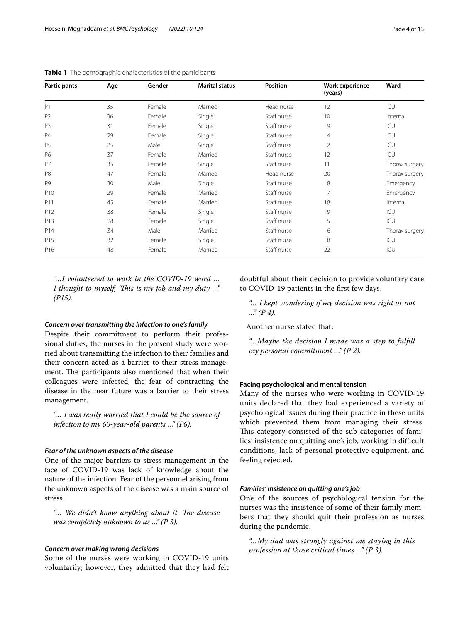| Participants    | Age | Gender | <b>Marital status</b> | <b>Position</b> | Work experience<br>(years) | Ward           |
|-----------------|-----|--------|-----------------------|-----------------|----------------------------|----------------|
| P1              | 35  | Female | Married               | Head nurse      | 12                         | ICU            |
| P <sub>2</sub>  | 36  | Female | Single                | Staff nurse     | 10                         | Internal       |
| P <sub>3</sub>  | 31  | Female | Single                | Staff nurse     | 9                          | ICU            |
| P4              | 29  | Female | Single                | Staff nurse     | $\overline{4}$             | ICU            |
| P <sub>5</sub>  | 25  | Male   | Single                | Staff nurse     | $\overline{2}$             | ICU            |
| P6              | 37  | Female | Married               | Staff nurse     | 12                         | ICU            |
| P7              | 35  | Female | Single                | Staff nurse     | 11                         | Thorax surgery |
| P <sub>8</sub>  | 47  | Female | Married               | Head nurse      | 20                         | Thorax surgery |
| P <sub>9</sub>  | 30  | Male   | Single                | Staff nurse     | 8                          | Emergency      |
| P <sub>10</sub> | 29  | Female | Married               | Staff nurse     | 7                          | Emergency      |
| P11             | 45  | Female | Married               | Staff nurse     | 18                         | Internal       |
| P12             | 38  | Female | Single                | Staff nurse     | 9                          | ICU            |
| P13             | 28  | Female | Single                | Staff nurse     | 5                          | ICU            |
| P14             | 34  | Male   | Married               | Staff nurse     | 6                          | Thorax surgery |
| P15             | 32  | Female | Single                | Staff nurse     | 8                          | ICU            |
| P16             | 48  | Female | Married               | Staff nurse     | 22                         | ICU            |

<span id="page-3-0"></span>**Table 1** The demographic characteristics of the participants

*"…I volunteered to work in the COVID-19 ward … I thought to myself, 'Tis is my job and my duty …" (P15).*

#### *Concern over transmitting the infection to one's family*

Despite their commitment to perform their professional duties, the nurses in the present study were worried about transmitting the infection to their families and their concern acted as a barrier to their stress management. The participants also mentioned that when their colleagues were infected, the fear of contracting the disease in the near future was a barrier to their stress management.

*"… I was really worried that I could be the source of infection to my 60-year-old parents …" (P6).*

# *Fear of the unknown aspects of the disease*

One of the major barriers to stress management in the face of COVID-19 was lack of knowledge about the nature of the infection. Fear of the personnel arising from the unknown aspects of the disease was a main source of stress.

"... We didn't know anything about it. The disease *was completely unknown to us …" (P 3).*

### *Concern over making wrong decisions*

Some of the nurses were working in COVID-19 units voluntarily; however, they admitted that they had felt doubtful about their decision to provide voluntary care to COVID-19 patients in the frst few days.

*"… I kept wondering if my decision was right or not …" (P 4).*

Another nurse stated that:

*"…Maybe the decision I made was a step to fulfll my personal commitment …" (P 2).*

## **Facing psychological and mental tension**

Many of the nurses who were working in COVID-19 units declared that they had experienced a variety of psychological issues during their practice in these units which prevented them from managing their stress. This category consisted of the sub-categories of families' insistence on quitting one's job, working in difficult conditions, lack of personal protective equipment, and feeling rejected.

# *Families' insistence on quitting one's job*

One of the sources of psychological tension for the nurses was the insistence of some of their family members that they should quit their profession as nurses during the pandemic.

*"…My dad was strongly against me staying in this profession at those critical times …" (P 3).*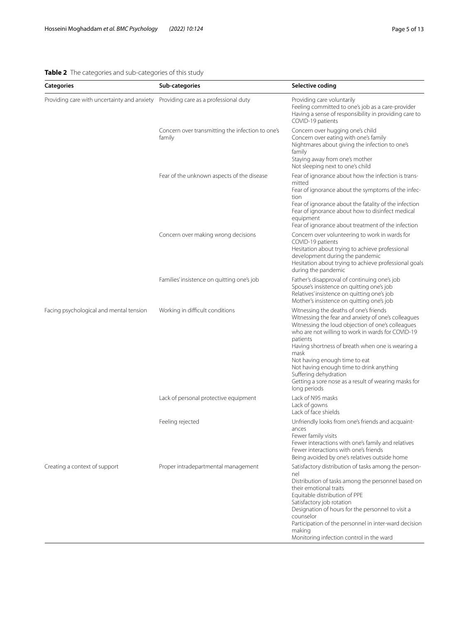# <span id="page-4-0"></span>**Table 2** The categories and sub-categories of this study

| <b>Categories</b>                           | Sub-categories                                             | Selective coding                                                                                                                                                        |
|---------------------------------------------|------------------------------------------------------------|-------------------------------------------------------------------------------------------------------------------------------------------------------------------------|
| Providing care with uncertainty and anxiety | Providing care as a professional duty                      | Providing care voluntarily<br>Feeling committed to one's job as a care-provider<br>Having a sense of responsibility in providing care to<br>COVID-19 patients           |
|                                             | Concern over transmitting the infection to one's<br>family | Concern over hugging one's child<br>Concern over eating with one's family<br>Nightmares about giving the infection to one's<br>family<br>Staying away from one's mother |

|                                         |                                            | inginimates about giving the infection to ones<br>family<br>Staying away from one's mother<br>Not sleeping next to one's child                                                                                                                                                                                                                                                                                                                                |
|-----------------------------------------|--------------------------------------------|---------------------------------------------------------------------------------------------------------------------------------------------------------------------------------------------------------------------------------------------------------------------------------------------------------------------------------------------------------------------------------------------------------------------------------------------------------------|
|                                         | Fear of the unknown aspects of the disease | Fear of ignorance about how the infection is trans-<br>mitted<br>Fear of ignorance about the symptoms of the infec-<br>tion<br>Fear of ignorance about the fatality of the infection<br>Fear of ignorance about how to disinfect medical<br>equipment<br>Fear of ignorance about treatment of the infection                                                                                                                                                   |
|                                         | Concern over making wrong decisions        | Concern over volunteering to work in wards for<br>COVID-19 patients<br>Hesitation about trying to achieve professional<br>development during the pandemic<br>Hesitation about trying to achieve professional goals<br>during the pandemic                                                                                                                                                                                                                     |
|                                         | Families' insistence on quitting one's job | Father's disapproval of continuing one's job<br>Spouse's insistence on quitting one's job<br>Relatives' insistence on quitting one's job<br>Mother's insistence on quitting one's job                                                                                                                                                                                                                                                                         |
| Facing psychological and mental tension | Working in difficult conditions            | Witnessing the deaths of one's friends<br>Witnessing the fear and anxiety of one's colleagues<br>Witnessing the loud objection of one's colleagues<br>who are not willing to work in wards for COVID-19<br>patients<br>Having shortness of breath when one is wearing a<br>mask<br>Not having enough time to eat<br>Not having enough time to drink anything<br>Suffering dehydration<br>Getting a sore nose as a result of wearing masks for<br>long periods |
|                                         | Lack of personal protective equipment      | Lack of N95 masks<br>Lack of gowns<br>Lack of face shields                                                                                                                                                                                                                                                                                                                                                                                                    |
|                                         | Feeling rejected                           | Unfriendly looks from one's friends and acquaint-<br>ances<br>Fewer family visits<br>Fewer interactions with one's family and relatives<br>Fewer interactions with one's friends<br>Being avoided by one's relatives outside home                                                                                                                                                                                                                             |
| Creating a context of support           | Proper intradepartmental management        | Satisfactory distribution of tasks among the person-<br>nel<br>Distribution of tasks among the personnel based on<br>their emotional traits<br>Equitable distribution of PPE<br>Satisfactory job rotation<br>Designation of hours for the personnel to visit a<br>counselor<br>Participation of the personnel in inter-ward decision<br>making<br>Monitoring infection control in the ward                                                                    |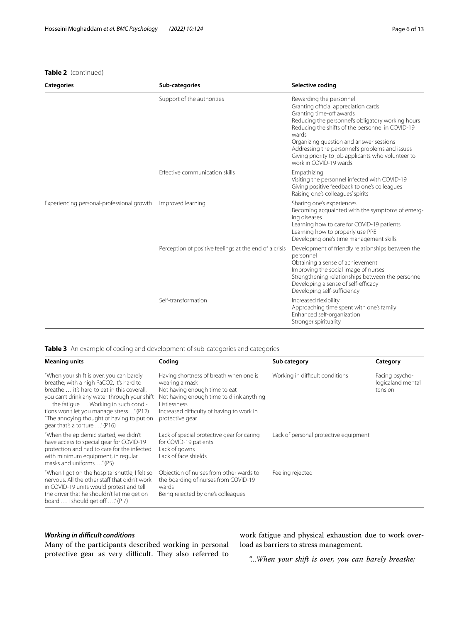# **Table 2** (continued)

| <b>Categories</b>                         | Sub-categories                                         | Selective coding                                                                                                                                                                                                                                                                                                                                                                           |
|-------------------------------------------|--------------------------------------------------------|--------------------------------------------------------------------------------------------------------------------------------------------------------------------------------------------------------------------------------------------------------------------------------------------------------------------------------------------------------------------------------------------|
|                                           | Support of the authorities                             | Rewarding the personnel<br>Granting official appreciation cards<br>Granting time-off awards<br>Reducing the personnel's obligatory working hours<br>Reducing the shifts of the personnel in COVID-19<br>wards<br>Organizing question and answer sessions<br>Addressing the personnel's problems and issues<br>Giving priority to job applicants who volunteer to<br>work in COVID-19 wards |
|                                           | Effective communication skills                         | Empathizing<br>Visiting the personnel infected with COVID-19<br>Giving positive feedback to one's colleagues<br>Raising one's colleagues' spirits                                                                                                                                                                                                                                          |
| Experiencing personal-professional growth | Improved learning                                      | Sharing one's experiences<br>Becoming acquainted with the symptoms of emerg-<br>ing diseases<br>Learning how to care for COVID-19 patients<br>Learning how to properly use PPE<br>Developing one's time management skills                                                                                                                                                                  |
|                                           | Perception of positive feelings at the end of a crisis | Development of friendly relationships between the<br>personnel<br>Obtaining a sense of achievement<br>Improving the social image of nurses<br>Strengthening relationships between the personnel<br>Developing a sense of self-efficacy<br>Developing self-sufficiency                                                                                                                      |
|                                           | Self-transformation                                    | Increased flexibility<br>Approaching time spent with one's family<br>Enhanced self-organization<br>Stronger spirituality                                                                                                                                                                                                                                                                   |

<span id="page-5-0"></span>**Table 3** An example of coding and development of sub-categories and categories

| <b>Meaning units</b>                                                                                                                                                                                                                                                                                                                                 | Coding                                                                                                                                                                                                                | Sub category                          | Category                                       |
|------------------------------------------------------------------------------------------------------------------------------------------------------------------------------------------------------------------------------------------------------------------------------------------------------------------------------------------------------|-----------------------------------------------------------------------------------------------------------------------------------------------------------------------------------------------------------------------|---------------------------------------|------------------------------------------------|
| "When your shift is over, you can barely<br>breathe; with a high PaCO2, it's hard to<br>breathe  it's hard to eat in this coverall,<br>you can't drink any water through your shift<br>the fatigue  Working in such condi-<br>tions won't let you manage stress" (P12)<br>"The annoying thought of having to put on<br>gear that's a torture " (P16) | Having shortness of breath when one is<br>wearing a mask<br>Not having enough time to eat<br>Not having enough time to drink anything<br>Listlessness<br>Increased difficulty of having to work in<br>protective gear | Working in difficult conditions       | Facing psycho-<br>logicaland mental<br>tension |
| "When the epidemic started, we didn't<br>have access to special gear for COVID-19<br>protection and had to care for the infected<br>with minimum equipment, in regular<br>masks and uniforms " (P5)                                                                                                                                                  | Lack of special protective gear for caring<br>for COVID-19 patients<br>Lack of gowns<br>Lack of face shields                                                                                                          | Lack of personal protective equipment |                                                |
| "When I got on the hospital shuttle, I felt so<br>nervous. All the other staff that didn't work<br>in COVID-19 units would protest and tell<br>the driver that he shouldn't let me get on<br>board  I should get off " (P 7)                                                                                                                         | Objection of nurses from other wards to<br>the boarding of nurses from COVID-19<br>wards<br>Being rejected by one's colleagues                                                                                        | Feeling rejected                      |                                                |

# *Working in difcult conditions*

Many of the participants described working in personal protective gear as very difficult. They also referred to

work fatigue and physical exhaustion due to work overload as barriers to stress management.

*"…When your shift is over, you can barely breathe;*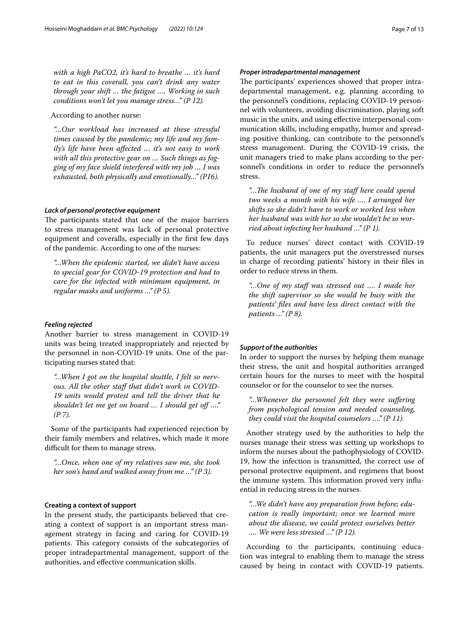*with a high PaCO2, it's hard to breathe … it's hard to eat in this coverall, you can't drink any water through your shift … the fatigue …. Working in such conditions won't let you manage stress…" (P 12).*

According to another nurse:

*"…Our workload has increased at these stressful times caused by the pandemic; my life and my family's life have been afected … it's not easy to work with all this protective gear on … Such things as fogging of my face shield interfered with my job … I was exhausted, both physically and emotionally…" (P16).*

#### *Lack of personal protective equipment*

The participants stated that one of the major barriers to stress management was lack of personal protective equipment and coveralls, especially in the frst few days of the pandemic. According to one of the nurses:

*"…When the epidemic started, we didn't have access to special gear for COVID-19 protection and had to care for the infected with minimum equipment, in regular masks and uniforms …" (P 5).*

# *Feeling rejected*

Another barrier to stress management in COVID-19 units was being treated inappropriately and rejected by the personnel in non-COVID-19 units. One of the participating nurses stated that:

*"…When I got on the hospital shuttle, I felt so nerv*ous. All the other staff that didn't work in COVID-*19 units would protest and tell the driver that he shouldn't let me get on board … I should get of …." (P 7).*

Some of the participants had experienced rejection by their family members and relatives, which made it more difficult for them to manage stress.

*"…Once, when one of my relatives saw me, she took her son's hand and walked away from me …" (P 3).*

# **Creating a context of support**

In the present study, the participants believed that creating a context of support is an important stress management strategy in facing and caring for COVID-19 patients. This category consists of the subcategories of proper intradepartmental management, support of the authorities, and efective communication skills.

The participants' experiences showed that proper intradepartmental management, e.g. planning according to the personnel's conditions, replacing COVID-19 personnel with volunteers, avoiding discrimination, playing soft music in the units, and using efective interpersonal communication skills, including empathy, humor and spreading positive thinking, can contribute to the personnel's stress management. During the COVID-19 crisis, the unit managers tried to make plans according to the personnel's conditions in order to reduce the personnel's stress.

*"…Te husband of one of my staf here could spend two weeks a month with his wife …. I arranged her shifts so she didn't have to work or worked less when her husband was with her so she wouldn't be so worried about infecting her husband …" (P 1).*

To reduce nurses' direct contact with COVID-19 patients, the unit managers put the overstressed nurses in charge of recording patients' history in their fles in order to reduce stress in them.

*"…One of my staf was stressed out …. I made her the shift supervisor so she would be busy with the patients' fles and have less direct contact with the patients …" (P 8).*

# *Support of the authorities*

In order to support the nurses by helping them manage their stress, the unit and hospital authorities arranged certain hours for the nurses to meet with the hospital counselor or for the counselor to see the nurses.

*"…Whenever the personnel felt they were sufering from psychological tension and needed counseling, they could visit the hospital counselors …." (P 11).*

Another strategy used by the authorities to help the nurses manage their stress was setting up workshops to inform the nurses about the pathophysiology of COVID-19, how the infection is transmitted, the correct use of personal protective equipment, and regimens that boost the immune system. This information proved very influential in reducing stress in the nurses.

*"…We didn't have any preparation from before; education is really important; once we learned more about the disease, we could protect ourselves better …. We were less stressed …" (P 12).*

According to the participants, continuing education was integral to enabling them to manage the stress caused by being in contact with COVID-19 patients.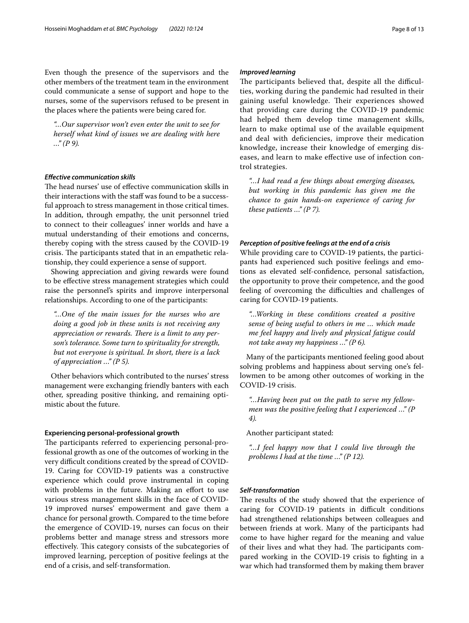Even though the presence of the supervisors and the other members of the treatment team in the environment could communicate a sense of support and hope to the nurses, some of the supervisors refused to be present in the places where the patients were being cared for.

*"…Our supervisor won't even enter the unit to see for herself what kind of issues we are dealing with here …" (P 9).*

# *Efective communication skills*

The head nurses' use of effective communication skills in their interactions with the staff was found to be a successful approach to stress management in those critical times. In addition, through empathy, the unit personnel tried to connect to their colleagues' inner worlds and have a mutual understanding of their emotions and concerns, thereby coping with the stress caused by the COVID-19 crisis. The participants stated that in an empathetic relationship, they could experience a sense of support.

Showing appreciation and giving rewards were found to be efective stress management strategies which could raise the personnel's spirits and improve interpersonal relationships. According to one of the participants:

*"…One of the main issues for the nurses who are doing a good job in these units is not receiving any*  appreciation or rewards. There is a limit to any per*son's tolerance. Some turn to spirituality for strength, but not everyone is spiritual. In short, there is a lack of appreciation …" (P 5).*

Other behaviors which contributed to the nurses' stress management were exchanging friendly banters with each other, spreading positive thinking, and remaining optimistic about the future.

#### **Experiencing personal-professional growth**

The participants referred to experiencing personal-professional growth as one of the outcomes of working in the very difficult conditions created by the spread of COVID-19. Caring for COVID-19 patients was a constructive experience which could prove instrumental in coping with problems in the future. Making an effort to use various stress management skills in the face of COVID-19 improved nurses' empowerment and gave them a chance for personal growth. Compared to the time before the emergence of COVID-19, nurses can focus on their problems better and manage stress and stressors more effectively. This category consists of the subcategories of improved learning, perception of positive feelings at the end of a crisis, and self-transformation.

# *Improved learning*

The participants believed that, despite all the difficulties, working during the pandemic had resulted in their gaining useful knowledge. Their experiences showed that providing care during the COVID-19 pandemic had helped them develop time management skills, learn to make optimal use of the available equipment and deal with defciencies, improve their medication knowledge, increase their knowledge of emerging diseases, and learn to make efective use of infection control strategies.

*"…I had read a few things about emerging diseases, but working in this pandemic has given me the chance to gain hands-on experience of caring for these patients …" (P 7).*

# *Perception of positive feelings at the end of a crisis*

While providing care to COVID-19 patients, the participants had experienced such positive feelings and emotions as elevated self-confdence, personal satisfaction, the opportunity to prove their competence, and the good feeling of overcoming the difficulties and challenges of caring for COVID-19 patients.

*"…Working in these conditions created a positive sense of being useful to others in me … which made me feel happy and lively and physical fatigue could not take away my happiness …" (P 6).*

Many of the participants mentioned feeling good about solving problems and happiness about serving one's fellowmen to be among other outcomes of working in the COVID-19 crisis.

*"…Having been put on the path to serve my fellowmen was the positive feeling that I experienced …" (P 4).*

Another participant stated:

*"…I feel happy now that I could live through the problems I had at the time …" (P 12).*

# *Self‑transformation*

The results of the study showed that the experience of caring for COVID-19 patients in difficult conditions had strengthened relationships between colleagues and between friends at work. Many of the participants had come to have higher regard for the meaning and value of their lives and what they had. The participants compared working in the COVID-19 crisis to fghting in a war which had transformed them by making them braver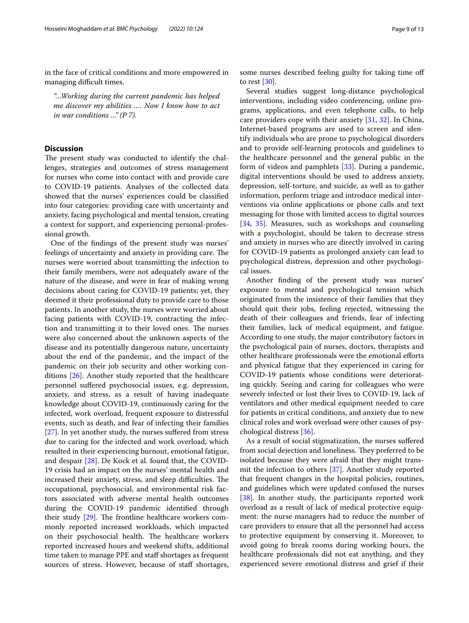in the face of critical conditions and more empowered in managing difficult times.

*"…Working during the current pandemic has helped me discover my abilities …. Now I know how to act in war conditions …" (P 7).*

# **Discussion**

The present study was conducted to identify the challenges, strategies and outcomes of stress management for nurses who come into contact with and provide care to COVID-19 patients. Analyses of the collected data showed that the nurses' experiences could be classifed into four categories: providing care with uncertainty and anxiety, facing psychological and mental tension, creating a context for support, and experiencing personal-professional growth.

One of the fndings of the present study was nurses' feelings of uncertainty and anxiety in providing care. The nurses were worried about transmitting the infection to their family members, were not adequately aware of the nature of the disease, and were in fear of making wrong decisions about caring for COVID-19 patients; yet, they deemed it their professional duty to provide care to those patients. In another study, the nurses were worried about facing patients with COVID-19, contracting the infection and transmitting it to their loved ones. The nurses were also concerned about the unknown aspects of the disease and its potentially dangerous nature, uncertainty about the end of the pandemic, and the impact of the pandemic on their job security and other working conditions [\[26](#page-12-7)]. Another study reported that the healthcare personnel sufered psychosocial issues, e.g. depression, anxiety, and stress, as a result of having inadequate knowledge about COVID-19, continuously caring for the infected, work overload, frequent exposure to distressful events, such as death, and fear of infecting their families [[27\]](#page-12-8). In yet another study, the nurses suffered from stress due to caring for the infected and work overload, which resulted in their experiencing burnout, emotional fatigue, and despair [[28\]](#page-12-9). De Kock et al. found that, the COVID-19 crisis had an impact on the nurses' mental health and increased their anxiety, stress, and sleep difficulties. The occupational, psychosocial, and environmental risk factors associated with adverse mental health outcomes during the COVID-19 pandemic identifed through their study  $[29]$  $[29]$ . The frontline healthcare workers commonly reported increased workloads, which impacted on their psychosocial health. The healthcare workers reported increased hours and weekend shifts, additional time taken to manage PPE and staf shortages as frequent sources of stress. However, because of staff shortages, some nurses described feeling guilty for taking time of to rest  $[30]$ .

Several studies suggest long-distance psychological interventions, including video conferencing, online programs, applications, and even telephone calls, to help care providers cope with their anxiety [[31,](#page-12-12) [32\]](#page-12-13). In China, Internet-based programs are used to screen and identify individuals who are prone to psychological disorders and to provide self-learning protocols and guidelines to the healthcare personnel and the general public in the form of videos and pamphlets [[33\]](#page-12-14). During a pandemic, digital interventions should be used to address anxiety, depression, self-torture, and suicide, as well as to gather information, perform triage and introduce medical interventions via online applications or phone calls and text messaging for those with limited access to digital sources [[34,](#page-12-15) [35](#page-12-16)]. Measures, such as workshops and counseling with a psychologist, should be taken to decrease stress and anxiety in nurses who are directly involved in caring for COVID-19 patients as prolonged anxiety can lead to psychological distress, depression and other psychological issues.

Another fnding of the present study was nurses' exposure to mental and psychological tension which originated from the insistence of their families that they should quit their jobs, feeling rejected, witnessing the death of their colleagues and friends, fear of infecting their families, lack of medical equipment, and fatigue. According to one study, the major contributory factors in the psychological pain of nurses, doctors, therapists and other healthcare professionals were the emotional eforts and physical fatigue that they experienced in caring for COVID-19 patients whose conditions were deteriorating quickly. Seeing and caring for colleagues who were severely infected or lost their lives to COVID-19, lack of ventilators and other medical equipment needed to care for patients in critical conditions, and anxiety due to new clinical roles and work overload were other causes of psychological distress [\[36\]](#page-12-17).

As a result of social stigmatization, the nurses sufered from social dejection and loneliness. They preferred to be isolated because they were afraid that they might transmit the infection to others [[37](#page-12-18)]. Another study reported that frequent changes in the hospital policies, routines, and guidelines which were updated confused the nurses [[38\]](#page-12-19). In another study, the participants reported work overload as a result of lack of medical protective equipment: the nurse managers had to reduce the number of care providers to ensure that all the personnel had access to protective equipment by conserving it. Moreover, to avoid going to break rooms during working hours, the healthcare professionals did not eat anything, and they experienced severe emotional distress and grief if their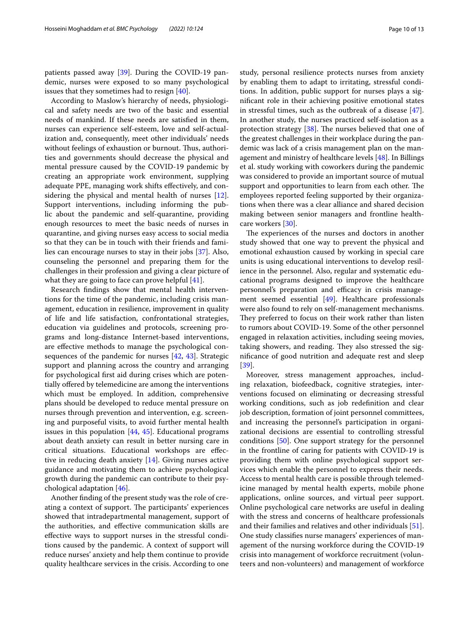patients passed away [\[39](#page-12-20)]. During the COVID-19 pandemic, nurses were exposed to so many psychological issues that they sometimes had to resign [\[40](#page-12-21)].

According to Maslow's hierarchy of needs, physiological and safety needs are two of the basic and essential needs of mankind. If these needs are satisfed in them, nurses can experience self-esteem, love and self-actualization and, consequently, meet other individuals' needs without feelings of exhaustion or burnout. Thus, authorities and governments should decrease the physical and mental pressure caused by the COVID-19 pandemic by creating an appropriate work environment, supplying adequate PPE, managing work shifts efectively, and considering the physical and mental health of nurses [\[12](#page-11-11)]. Support interventions, including informing the public about the pandemic and self-quarantine, providing enough resources to meet the basic needs of nurses in quarantine, and giving nurses easy access to social media so that they can be in touch with their friends and families can encourage nurses to stay in their jobs [[37](#page-12-18)]. Also, counseling the personnel and preparing them for the challenges in their profession and giving a clear picture of what they are going to face can prove helpful [\[41](#page-12-22)].

Research fndings show that mental health interventions for the time of the pandemic, including crisis management, education in resilience, improvement in quality of life and life satisfaction, confrontational strategies, education via guidelines and protocols, screening programs and long-distance Internet-based interventions, are efective methods to manage the psychological consequences of the pandemic for nurses [[42,](#page-12-23) [43\]](#page-12-24). Strategic support and planning across the country and arranging for psychological frst aid during crises which are potentially offered by telemedicine are among the interventions which must be employed. In addition, comprehensive plans should be developed to reduce mental pressure on nurses through prevention and intervention, e.g. screening and purposeful visits, to avoid further mental health issues in this population  $[44, 45]$  $[44, 45]$  $[44, 45]$ . Educational programs about death anxiety can result in better nursing care in critical situations. Educational workshops are efective in reducing death anxiety [[14\]](#page-11-13). Giving nurses active guidance and motivating them to achieve psychological growth during the pandemic can contribute to their psychological adaptation [[46\]](#page-12-27).

Another fnding of the present study was the role of creating a context of support. The participants' experiences showed that intradepartmental management, support of the authorities, and efective communication skills are efective ways to support nurses in the stressful conditions caused by the pandemic. A context of support will reduce nurses' anxiety and help them continue to provide quality healthcare services in the crisis. According to one study, personal resilience protects nurses from anxiety by enabling them to adapt to irritating, stressful conditions. In addition, public support for nurses plays a signifcant role in their achieving positive emotional states in stressful times, such as the outbreak of a disease [\[47](#page-12-28)]. In another study, the nurses practiced self-isolation as a protection strategy  $[38]$  $[38]$ . The nurses believed that one of the greatest challenges in their workplace during the pandemic was lack of a crisis management plan on the management and ministry of healthcare levels [[48](#page-12-29)]. In Billings et al. study working with coworkers during the pandemic was considered to provide an important source of mutual support and opportunities to learn from each other. The employees reported feeling supported by their organizations when there was a clear alliance and shared decision making between senior managers and frontline healthcare workers [\[30](#page-12-11)].

The experiences of the nurses and doctors in another study showed that one way to prevent the physical and emotional exhaustion caused by working in special care units is using educational interventions to develop resilience in the personnel. Also, regular and systematic educational programs designed to improve the healthcare personnel's preparation and efficacy in crisis management seemed essential [\[49](#page-12-30)]. Healthcare professionals were also found to rely on self-management mechanisms. They preferred to focus on their work rather than listen to rumors about COVID-19. Some of the other personnel engaged in relaxation activities, including seeing movies, taking showers, and reading. They also stressed the signifcance of good nutrition and adequate rest and sleep [[39\]](#page-12-20).

Moreover, stress management approaches, including relaxation, biofeedback, cognitive strategies, interventions focused on eliminating or decreasing stressful working conditions, such as job redefnition and clear job description, formation of joint personnel committees, and increasing the personnel's participation in organizational decisions are essential to controlling stressful conditions [[50](#page-12-31)]. One support strategy for the personnel in the frontline of caring for patients with COVID-19 is providing them with online psychological support services which enable the personnel to express their needs. Access to mental health care is possible through telemedicine managed by mental health experts, mobile phone applications, online sources, and virtual peer support. Online psychological care networks are useful in dealing with the stress and concerns of healthcare professionals and their families and relatives and other individuals [\[51](#page-12-32)]. One study classifes nurse managers' experiences of management of the nursing workforce during the COVID-19 crisis into management of workforce recruitment (volunteers and non-volunteers) and management of workforce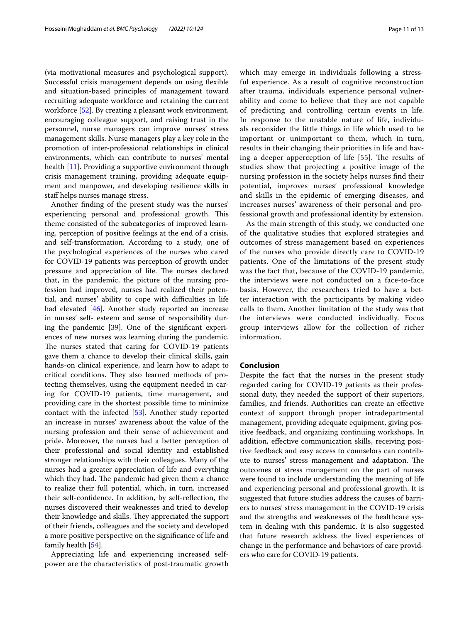(via motivational measures and psychological support). Successful crisis management depends on using fexible and situation-based principles of management toward recruiting adequate workforce and retaining the current workforce [[52](#page-12-33)]. By creating a pleasant work environment, encouraging colleague support, and raising trust in the personnel, nurse managers can improve nurses' stress management skills. Nurse managers play a key role in the promotion of inter-professional relationships in clinical environments, which can contribute to nurses' mental health [\[11\]](#page-11-10). Providing a supportive environment through crisis management training, providing adequate equipment and manpower, and developing resilience skills in staff helps nurses manage stress.

Another fnding of the present study was the nurses' experiencing personal and professional growth. This theme consisted of the subcategories of improved learning, perception of positive feelings at the end of a crisis, and self-transformation. According to a study, one of the psychological experiences of the nurses who cared for COVID-19 patients was perception of growth under pressure and appreciation of life. The nurses declared that, in the pandemic, the picture of the nursing profession had improved, nurses had realized their potential, and nurses' ability to cope with difficulties in life had elevated [[46](#page-12-27)]. Another study reported an increase in nurses' self- esteem and sense of responsibility during the pandemic  $[39]$  $[39]$ . One of the significant experiences of new nurses was learning during the pandemic. The nurses stated that caring for COVID-19 patients gave them a chance to develop their clinical skills, gain hands-on clinical experience, and learn how to adapt to critical conditions. They also learned methods of protecting themselves, using the equipment needed in caring for COVID-19 patients, time management, and providing care in the shortest possible time to minimize contact with the infected [[53\]](#page-12-34). Another study reported an increase in nurses' awareness about the value of the nursing profession and their sense of achievement and pride. Moreover, the nurses had a better perception of their professional and social identity and established stronger relationships with their colleagues. Many of the nurses had a greater appreciation of life and everything which they had. The pandemic had given them a chance to realize their full potential, which, in turn, increased their self-confdence. In addition, by self-refection, the nurses discovered their weaknesses and tried to develop their knowledge and skills. They appreciated the support of their friends, colleagues and the society and developed a more positive perspective on the signifcance of life and family health [\[54](#page-12-35)].

Appreciating life and experiencing increased selfpower are the characteristics of post-traumatic growth which may emerge in individuals following a stressful experience. As a result of cognitive reconstruction after trauma, individuals experience personal vulnerability and come to believe that they are not capable of predicting and controlling certain events in life. In response to the unstable nature of life, individuals reconsider the little things in life which used to be important or unimportant to them, which in turn,

results in their changing their priorities in life and hav-ing a deeper apperception of life [[55\]](#page-12-36). The results of studies show that projecting a positive image of the nursing profession in the society helps nurses fnd their potential, improves nurses' professional knowledge and skills in the epidemic of emerging diseases, and increases nurses' awareness of their personal and professional growth and professional identity by extension.

As the main strength of this study, we conducted one of the qualitative studies that explored strategies and outcomes of stress management based on experiences of the nurses who provide directly care to COVID-19 patients. One of the limitations of the present study was the fact that, because of the COVID-19 pandemic, the interviews were not conducted on a face-to-face basis. However, the researchers tried to have a better interaction with the participants by making video calls to them. Another limitation of the study was that the interviews were conducted individually. Focus group interviews allow for the collection of richer information.

# **Conclusion**

Despite the fact that the nurses in the present study regarded caring for COVID-19 patients as their professional duty, they needed the support of their superiors, families, and friends. Authorities can create an efective context of support through proper intradepartmental management, providing adequate equipment, giving positive feedback, and organizing continuing workshops. In addition, efective communication skills, receiving positive feedback and easy access to counselors can contribute to nurses' stress management and adaptation. The outcomes of stress management on the part of nurses were found to include understanding the meaning of life and experiencing personal and professional growth. It is suggested that future studies address the causes of barriers to nurses' stress management in the COVID-19 crisis and the strengths and weaknesses of the healthcare system in dealing with this pandemic. It is also suggested that future research address the lived experiences of change in the performance and behaviors of care providers who care for COVID-19 patients.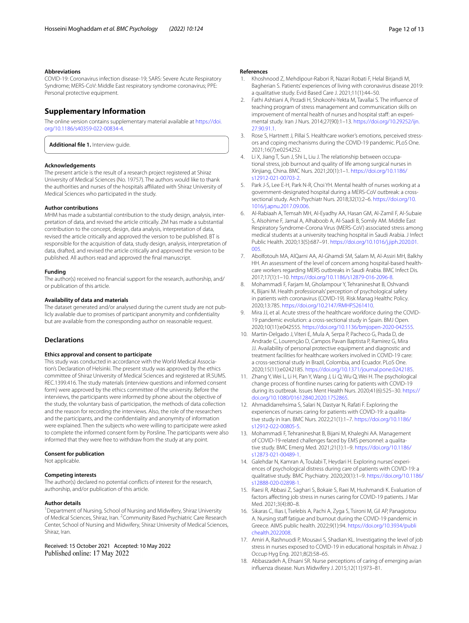#### **Abbreviations**

COVID-19: Coronavirus infection disease-19; SARS: Severe Acute Respiratory Syndrome; MERS-CoV: Middle East respiratory syndrome coronavirus; PPE: Personal protective equipment.

# **Supplementary Information**

The online version contains supplementary material available at [https://doi.](https://doi.org/10.1186/s40359-022-00834-4) [org/10.1186/s40359-022-00834-4](https://doi.org/10.1186/s40359-022-00834-4).

<span id="page-11-18"></span>**Additional fle 1.** Interview guide.

#### **Acknowledgements**

The present article is the result of a research project registered at Shiraz University of Medical Sciences (No. 19757). The authors would like to thank the authorities and nurses of the hospitals afliated with Shiraz University of Medical Sciences who participated in the study.

#### **Author contributions**

MHM has made a substantial contribution to the study design, analysis, interpretation of data, and revised the article critically. ZM has made a substantial contribution to the concept, design, data analysis, interpretation of data, revised the article critically and approved the version to be published. BT is responsible for the acquisition of data, study design, analysis, interpretation of data, drafted, and revised the article critically and approved the version to be published. All authors read and approved the fnal manuscript.

#### **Funding**

The author(s) received no fnancial support for the research, authorship, and/ or publication of this article.

#### **Availability of data and materials**

The dataset generated and/or analysed during the current study are not publicly available due to promises of participant anonymity and confdentiality but are available from the corresponding author on reasonable request.

# **Declarations**

#### **Ethics approval and consent to participate**

This study was conducted in accordance with the World Medical Association's Declaration of Helsinki. The present study was approved by the ethics committee of Shiraz University of Medical Sciences and registered at IR.SUMS. REC.1399.416. The study materials (interview questions and informed consent form) were approved by the ethics committee of the university. Before the interviews, the participants were informed by phone about the objective of the study, the voluntary basis of participation, the methods of data collection and the reason for recording the interviews. Also, the role of the researchers and the participants, and the confdentiality and anonymity of information were explained. Then the subjects who were willing to participate were asked to complete the informed consent form by Porsline. The participants were also informed that they were free to withdraw from the study at any point.

#### **Consent for publication**

Not applicable.

#### **Competing interests**

The author(s) declared no potential conficts of interest for the research, authorship, and/or publication of this article.

#### **Author details**

<sup>1</sup> Department of Nursing, School of Nursing and Midwifery, Shiraz University of Medical Sciences, Shiraz, Iran. <sup>2</sup> Community Based Psychiatric Care Research Center, School of Nursing and Midwifery, Shiraz University of Medical Sciences, Shiraz, Iran.

Received: 15 October 2021 Accepted: 10 May 2022<br>Published online: 17 May 2022

#### **References**

- <span id="page-11-0"></span>1. Khoshnood Z, Mehdipour-Rabori R, Nazari Robati F, Helal Birjandi M, Bagherian S. Patients' experiences of living with coronavirus disease 2019: a qualitative study. Evid Based Care J. 2021;11(1):44–50.
- <span id="page-11-1"></span>2. Fathi Ashtiani A, Pirzadi H, Shokoohi-Yekta M, Tavallai S. The infuence of teaching program of stress management and communication skills on improvement of mental health of nurses and hospital staff: an experimental study. Iran J Nurs. 2014;27(90):1–13. [https://doi.org/10.29252/ijn.](https://doi.org/10.29252/ijn.27.90.91.1) [27.90.91.1](https://doi.org/10.29252/ijn.27.90.91.1).
- <span id="page-11-2"></span>3. Rose S, Hartnett J, Pillai S. Healthcare worker's emotions, perceived stressors and coping mechanisms during the COVID-19 pandemic. PLoS One. 2021;16(7):e0254252.
- <span id="page-11-3"></span>4. Li X, Jiang T, Sun J, Shi L, Liu J. The relationship between occupational stress, job burnout and quality of life among surgical nurses in Xinjiang, China. BMC Nurs. 2021;20(1):1–1. [https://doi.org/10.1186/](https://doi.org/10.1186/s12912-021-00703-2) [s12912-021-00703-2](https://doi.org/10.1186/s12912-021-00703-2).
- <span id="page-11-4"></span>5. Park J-S, Lee E-H, Park N-R, Choi YH. Mental health of nurses working at a government-designated hospital during a MERS-CoV outbreak: a crosssectional study. Arch Psychiatr Nurs. 2018;32(1):2–6. [https://doi.org/10.](https://doi.org/10.1016/j.apnu.2017.09.006) [1016/j.apnu.2017.09.006](https://doi.org/10.1016/j.apnu.2017.09.006).
- <span id="page-11-5"></span>6. Al-Rabiaah A, Temsah MH, Al-Eyadhy AA, Hasan GM, Al-Zamil F, Al-Subaie S, Alsohime F, Jamal A, Alhaboob A, Al-Saadi B, Somily AM. Middle East Respiratory Syndrome-Corona Virus (MERS-CoV) associated stress among medical students at a university teaching hospital in Saudi Arabia. J Infect Public Health. 2020;13(5):687–91. [https://doi.org/10.1016/j.jiph.2020.01.](https://doi.org/10.1016/j.jiph.2020.01.005) [005.](https://doi.org/10.1016/j.jiph.2020.01.005)
- <span id="page-11-6"></span>7. Abolfotouh MA, AlQarni AA, Al-Ghamdi SM, Salam M, Al-Assiri MH, Balkhy HH. An assessment of the level of concern among hospital-based healthcare workers regarding MERS outbreaks in Saudi Arabia. BMC Infect Dis. 2017;17(1):1–10. [https://doi.org/10.1186/s12879-016-2096-8.](https://doi.org/10.1186/s12879-016-2096-8)
- <span id="page-11-7"></span>8. Mohammadi F, Farjam M, Gholampour Y, Tehranineshat B, Oshvandi K, Bijani M. Health professionals' perception of psychological safety in patients with coronavirus (COVID-19). Risk Manag Healthc Policy. 2020;13:785. [https://doi.org/10.2147/RMHP.S261410.](https://doi.org/10.2147/RMHP.S261410)
- <span id="page-11-8"></span>9. Mira JJ, et al. Acute stress of the healthcare workforce during the COVID-19 pandemic evolution: a cross-sectional study in Spain. BMJ Open. 2020;10(11):e042555. [https://doi.org/10.1136/bmjopen-2020-042555.](https://doi.org/10.1136/bmjopen-2020-042555)
- <span id="page-11-9"></span>10. Martin-Delgado J, Viteri E, Mula A, Serpa P, Pacheco G, Prada D, de Andrade C, Lourenção D, Campos Pavan Baptista P, Ramirez G, Mira JJ. Availability of personal protective equipment and diagnostic and treatment facilities for healthcare workers involved in COVID-19 care: a cross-sectional study in Brazil, Colombia, and Ecuador. PLoS One. 2020;15(11):e0242185. <https://doi.org/10.1371/journal.pone.0242185>.
- <span id="page-11-10"></span>11. Zhang Y, Wei L, Li H, Pan Y, Wang J, Li Q, Wu Q, Wei H. The psychological change process of frontline nurses caring for patients with COVID-19 during its outbreak. Issues Ment Health Nurs. 2020;41(6):525–30. [https://](https://doi.org/10.1080/01612840.2020.1752865) [doi.org/10.1080/01612840.2020.1752865.](https://doi.org/10.1080/01612840.2020.1752865)
- <span id="page-11-11"></span>12. Ahmadidarrehsima S, Salari N, Dastyar N, Rafati F. Exploring the experiences of nurses caring for patients with COVID-19: a qualitative study in Iran. BMC Nurs. 2022;21(1):1–7. [https://doi.org/10.1186/](https://doi.org/10.1186/s12912-022-00805-5) [s12912-022-00805-5](https://doi.org/10.1186/s12912-022-00805-5).
- <span id="page-11-12"></span>13. Mohammadi F, Tehranineshat B, Bijani M, Khaleghi AA. Management of COVID-19-related challenges faced by EMS personnel: a qualitative study. BMC Emerg Med. 2021;21(1):1–9. [https://doi.org/10.1186/](https://doi.org/10.1186/s12873-021-00489-1) [s12873-021-00489-1](https://doi.org/10.1186/s12873-021-00489-1).
- <span id="page-11-13"></span>14. Galehdar N, Kamran A, Toulabi T, Heydari H. Exploring nurses' experiences of psychological distress during care of patients with COVID-19: a qualitative study. BMC Psychiatry. 2020;20(1):1–9. [https://doi.org/10.1186/](https://doi.org/10.1186/s12888-020-02898-1) [s12888-020-02898-1](https://doi.org/10.1186/s12888-020-02898-1).
- <span id="page-11-14"></span>15. Raesi R, Abbasi Z, Saghari S, Bokaie S, Raei M, Hushmandi K. Evaluation of factors afecting job stress in nurses caring for COVID-19 patients. J Mar Med. 2021;3(4):80–8.
- <span id="page-11-15"></span>16. Sikaras C, Ilias I, Tselebis A, Pachi A, Zyga S, Tsironi M, Gil AP, Panagiotou A. Nursing staff fatigue and burnout during the COVID-19 pandemic in Greece. AIMS public health. 2022;9(1):94. [https://doi.org/10.3934/publi](https://doi.org/10.3934/publichealth.2022008) [chealth.2022008.](https://doi.org/10.3934/publichealth.2022008)
- <span id="page-11-16"></span>17. Amiri A, Rashnuodi P, Mousavi S, Shadian KL. Investigating the level of job stress in nurses exposed to COVID-19 in educational hospitals in Ahvaz. J Occup Hyg Eng. 2021;8(2):58–65.
- <span id="page-11-17"></span>18. Abbaszadeh A, Ehsani SR. Nurse perceptions of caring of emerging avian infuenza disease. Nurs Midwifery J. 2015;12(11):973–81.